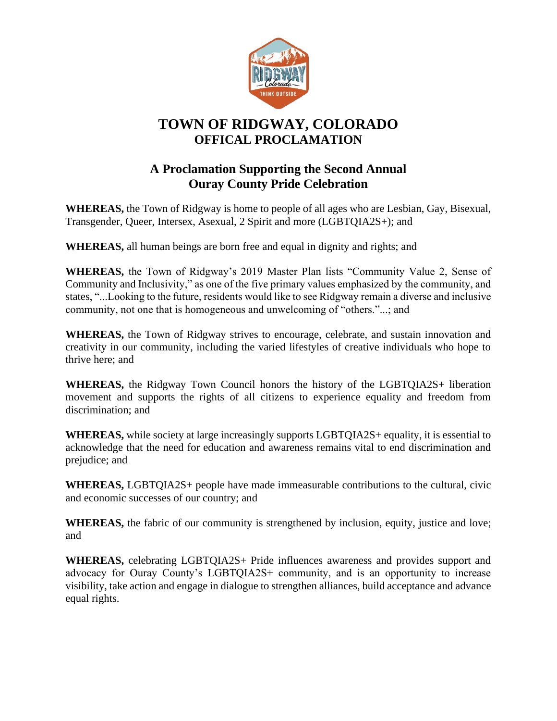

## **TOWN OF RIDGWAY, COLORADO OFFICAL PROCLAMATION**

## **A Proclamation Supporting the Second Annual Ouray County Pride Celebration**

**WHEREAS,** the Town of Ridgway is home to people of all ages who are Lesbian, Gay, Bisexual, Transgender, Queer, Intersex, Asexual, 2 Spirit and more (LGBTQIA2S+); and

**WHEREAS,** all human beings are born free and equal in dignity and rights; and

**WHEREAS,** the Town of Ridgway's 2019 Master Plan lists "Community Value 2, Sense of Community and Inclusivity," as one of the five primary values emphasized by the community, and states, "...Looking to the future, residents would like to see Ridgway remain a diverse and inclusive community, not one that is homogeneous and unwelcoming of "others."...; and

**WHEREAS,** the Town of Ridgway strives to encourage, celebrate, and sustain innovation and creativity in our community, including the varied lifestyles of creative individuals who hope to thrive here; and

**WHEREAS,** the Ridgway Town Council honors the history of the LGBTQIA2S+ liberation movement and supports the rights of all citizens to experience equality and freedom from discrimination; and

**WHEREAS,** while society at large increasingly supports LGBTQIA2S+ equality, it is essential to acknowledge that the need for education and awareness remains vital to end discrimination and prejudice; and

**WHEREAS,** LGBTQIA2S+ people have made immeasurable contributions to the cultural, civic and economic successes of our country; and

**WHEREAS,** the fabric of our community is strengthened by inclusion, equity, justice and love; and

**WHEREAS,** celebrating LGBTQIA2S+ Pride influences awareness and provides support and advocacy for Ouray County's LGBTQIA2S+ community, and is an opportunity to increase visibility, take action and engage in dialogue to strengthen alliances, build acceptance and advance equal rights.